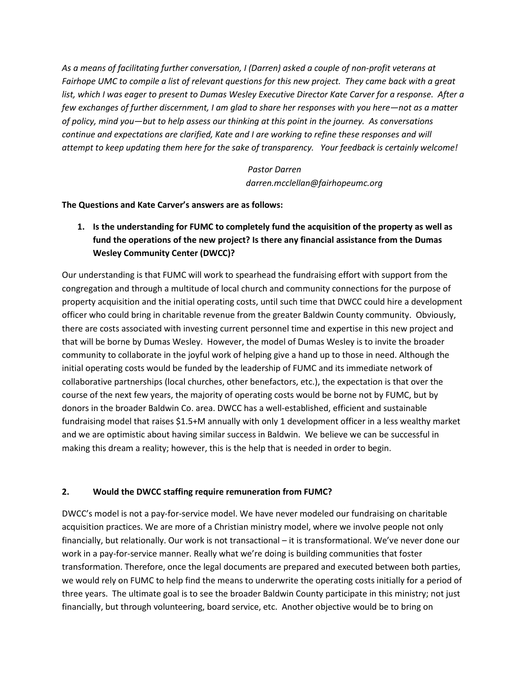*As a means of facilitating further conversation, I (Darren) asked a couple of non-profit veterans at Fairhope UMC to compile a list of relevant questions for this new project. They came back with a great*  list, which I was eager to present to Dumas Wesley Executive Director Kate Carver for a response. After a *few exchanges of further discernment, I am glad to share her responses with you here—not as a matter of policy, mind you—but to help assess our thinking at this point in the journey. As conversations continue and expectations are clarified, Kate and I are working to refine these responses and will attempt to keep updating them here for the sake of transparency. Your feedback is certainly welcome!*

> *Pastor Darren darren.mcclellan@fairhopeumc.org*

**The Questions and Kate Carver's answers are as follows:**

**1. Is the understanding for FUMC to completely fund the acquisition of the property as well as fund the operations of the new project? Is there any financial assistance from the Dumas Wesley Community Center (DWCC)?**

Our understanding is that FUMC will work to spearhead the fundraising effort with support from the congregation and through a multitude of local church and community connections for the purpose of property acquisition and the initial operating costs, until such time that DWCC could hire a development officer who could bring in charitable revenue from the greater Baldwin County community. Obviously, there are costs associated with investing current personnel time and expertise in this new project and that will be borne by Dumas Wesley. However, the model of Dumas Wesley is to invite the broader community to collaborate in the joyful work of helping give a hand up to those in need. Although the initial operating costs would be funded by the leadership of FUMC and its immediate network of collaborative partnerships (local churches, other benefactors, etc.), the expectation is that over the course of the next few years, the majority of operating costs would be borne not by FUMC, but by donors in the broader Baldwin Co. area. DWCC has a well-established, efficient and sustainable fundraising model that raises \$1.5+M annually with only 1 development officer in a less wealthy market and we are optimistic about having similar success in Baldwin. We believe we can be successful in making this dream a reality; however, this is the help that is needed in order to begin.

#### **2. Would the DWCC staffing require remuneration from FUMC?**

DWCC's model is not a pay-for-service model. We have never modeled our fundraising on charitable acquisition practices. We are more of a Christian ministry model, where we involve people not only financially, but relationally. Our work is not transactional – it is transformational. We've never done our work in a pay-for-service manner. Really what we're doing is building communities that foster transformation. Therefore, once the legal documents are prepared and executed between both parties, we would rely on FUMC to help find the means to underwrite the operating costs initially for a period of three years. The ultimate goal is to see the broader Baldwin County participate in this ministry; not just financially, but through volunteering, board service, etc. Another objective would be to bring on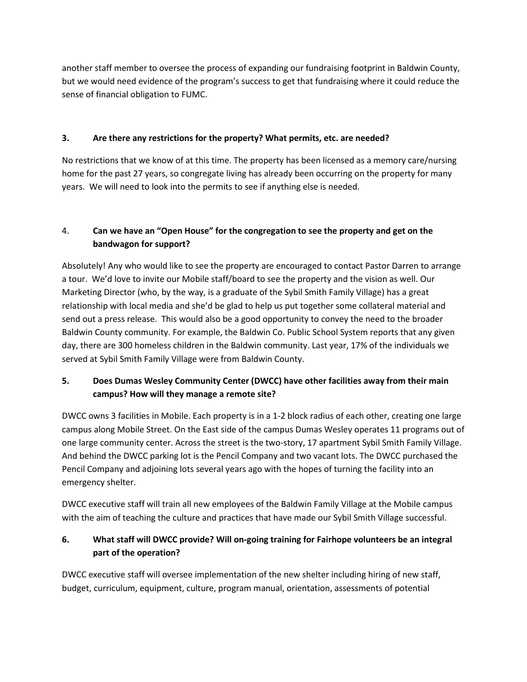another staff member to oversee the process of expanding our fundraising footprint in Baldwin County, but we would need evidence of the program's success to get that fundraising where it could reduce the sense of financial obligation to FUMC.

#### **3. Are there any restrictions for the property? What permits, etc. are needed?**

No restrictions that we know of at this time. The property has been licensed as a memory care/nursing home for the past 27 years, so congregate living has already been occurring on the property for many years. We will need to look into the permits to see if anything else is needed.

## 4. **Can we have an "Open House" for the congregation to see the property and get on the bandwagon for support?**

Absolutely! Any who would like to see the property are encouraged to contact Pastor Darren to arrange a tour. We'd love to invite our Mobile staff/board to see the property and the vision as well. Our Marketing Director (who, by the way, is a graduate of the Sybil Smith Family Village) has a great relationship with local media and she'd be glad to help us put together some collateral material and send out a press release. This would also be a good opportunity to convey the need to the broader Baldwin County community. For example, the Baldwin Co. Public School System reports that any given day, there are 300 homeless children in the Baldwin community. Last year, 17% of the individuals we served at Sybil Smith Family Village were from Baldwin County.

## **5. Does Dumas Wesley Community Center (DWCC) have other facilities away from their main campus? How will they manage a remote site?**

DWCC owns 3 facilities in Mobile. Each property is in a 1-2 block radius of each other, creating one large campus along Mobile Street. On the East side of the campus Dumas Wesley operates 11 programs out of one large community center. Across the street is the two-story, 17 apartment Sybil Smith Family Village. And behind the DWCC parking lot is the Pencil Company and two vacant lots. The DWCC purchased the Pencil Company and adjoining lots several years ago with the hopes of turning the facility into an emergency shelter.

DWCC executive staff will train all new employees of the Baldwin Family Village at the Mobile campus with the aim of teaching the culture and practices that have made our Sybil Smith Village successful.

## **6. What staff will DWCC provide? Will on-going training for Fairhope volunteers be an integral part of the operation?**

DWCC executive staff will oversee implementation of the new shelter including hiring of new staff, budget, curriculum, equipment, culture, program manual, orientation, assessments of potential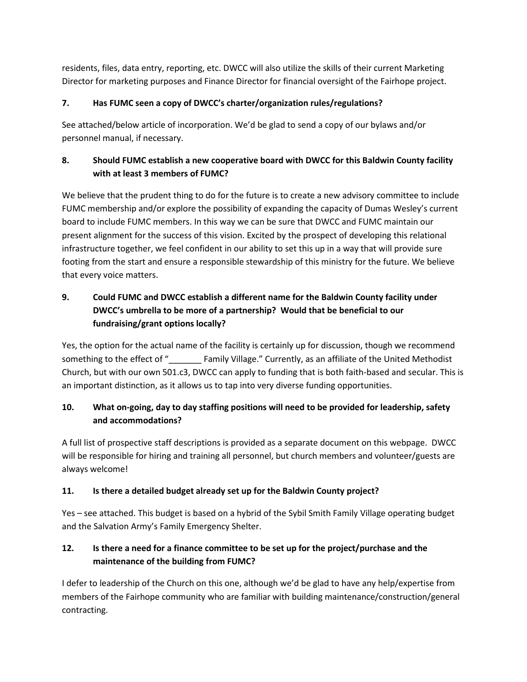residents, files, data entry, reporting, etc. DWCC will also utilize the skills of their current Marketing Director for marketing purposes and Finance Director for financial oversight of the Fairhope project.

#### **7. Has FUMC seen a copy of DWCC's charter/organization rules/regulations?**

See attached/below article of incorporation. We'd be glad to send a copy of our bylaws and/or personnel manual, if necessary.

## **8. Should FUMC establish a new cooperative board with DWCC for this Baldwin County facility with at least 3 members of FUMC?**

We believe that the prudent thing to do for the future is to create a new advisory committee to include FUMC membership and/or explore the possibility of expanding the capacity of Dumas Wesley's current board to include FUMC members. In this way we can be sure that DWCC and FUMC maintain our present alignment for the success of this vision. Excited by the prospect of developing this relational infrastructure together, we feel confident in our ability to set this up in a way that will provide sure footing from the start and ensure a responsible stewardship of this ministry for the future. We believe that every voice matters.

## **9. Could FUMC and DWCC establish a different name for the Baldwin County facility under DWCC's umbrella to be more of a partnership? Would that be beneficial to our fundraising/grant options locally?**

Yes, the option for the actual name of the facility is certainly up for discussion, though we recommend something to the effect of " Family Village." Currently, as an affiliate of the United Methodist Church, but with our own 501.c3, DWCC can apply to funding that is both faith-based and secular. This is an important distinction, as it allows us to tap into very diverse funding opportunities.

## **10. What on-going, day to day staffing positions will need to be provided for leadership, safety and accommodations?**

A full list of prospective staff descriptions is provided as a separate document on this webpage. DWCC will be responsible for hiring and training all personnel, but church members and volunteer/guests are always welcome!

## **11. Is there a detailed budget already set up for the Baldwin County project?**

Yes – see attached. This budget is based on a hybrid of the Sybil Smith Family Village operating budget and the Salvation Army's Family Emergency Shelter.

# **12. Is there a need for a finance committee to be set up for the project/purchase and the maintenance of the building from FUMC?**

I defer to leadership of the Church on this one, although we'd be glad to have any help/expertise from members of the Fairhope community who are familiar with building maintenance/construction/general contracting.